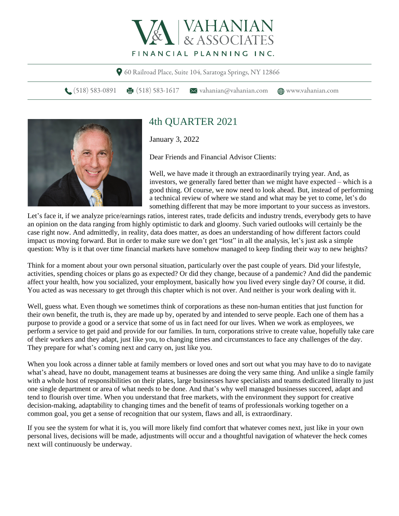

60 Railroad Place, Suite 104, Saratoga Springs, NY 12866

 $\bigcup$  (518) 583-0891 (518) 583-1617  $\bigvee$  vahanian@vahanian.com (m) www.vahanian.com



## 4th QUARTER 2021

January 3, 2022

Dear Friends and Financial Advisor Clients:

Well, we have made it through an extraordinarily trying year. And, as investors, we generally fared better than we might have expected – which is a good thing. Of course, we now need to look ahead. But, instead of performing a technical review of where we stand and what may be yet to come, let's do something different that may be more important to your success as investors.

Let's face it, if we analyze price/earnings ratios, interest rates, trade deficits and industry trends, everybody gets to have an opinion on the data ranging from highly optimistic to dark and gloomy. Such varied outlooks will certainly be the case right now. And admittedly, in reality, data does matter, as does an understanding of how different factors could impact us moving forward. But in order to make sure we don't get "lost" in all the analysis, let's just ask a simple question: Why is it that over time financial markets have somehow managed to keep finding their way to new heights?

Think for a moment about your own personal situation, particularly over the past couple of years. Did your lifestyle, activities, spending choices or plans go as expected? Or did they change, because of a pandemic? And did the pandemic affect your health, how you socialized, your employment, basically how you lived every single day? Of course, it did. You acted as was necessary to get through this chapter which is not over. And neither is your work dealing with it.

Well, guess what. Even though we sometimes think of corporations as these non-human entities that just function for their own benefit, the truth is, they are made up by, operated by and intended to serve people. Each one of them has a purpose to provide a good or a service that some of us in fact need for our lives. When we work as employees, we perform a service to get paid and provide for our families. In turn, corporations strive to create value, hopefully take care of their workers and they adapt, just like you, to changing times and circumstances to face any challenges of the day. They prepare for what's coming next and carry on, just like you.

When you look across a dinner table at family members or loved ones and sort out what you may have to do to navigate what's ahead, have no doubt, management teams at businesses are doing the very same thing. And unlike a single family with a whole host of responsibilities on their plates, large businesses have specialists and teams dedicated literally to just one single department or area of what needs to be done. And that's why well managed businesses succeed, adapt and tend to flourish over time. When you understand that free markets, with the environment they support for creative decision-making, adaptability to changing times and the benefit of teams of professionals working together on a common goal, you get a sense of recognition that our system, flaws and all, is extraordinary.

If you see the system for what it is, you will more likely find comfort that whatever comes next, just like in your own personal lives, decisions will be made, adjustments will occur and a thoughtful navigation of whatever the heck comes next will continuously be underway.